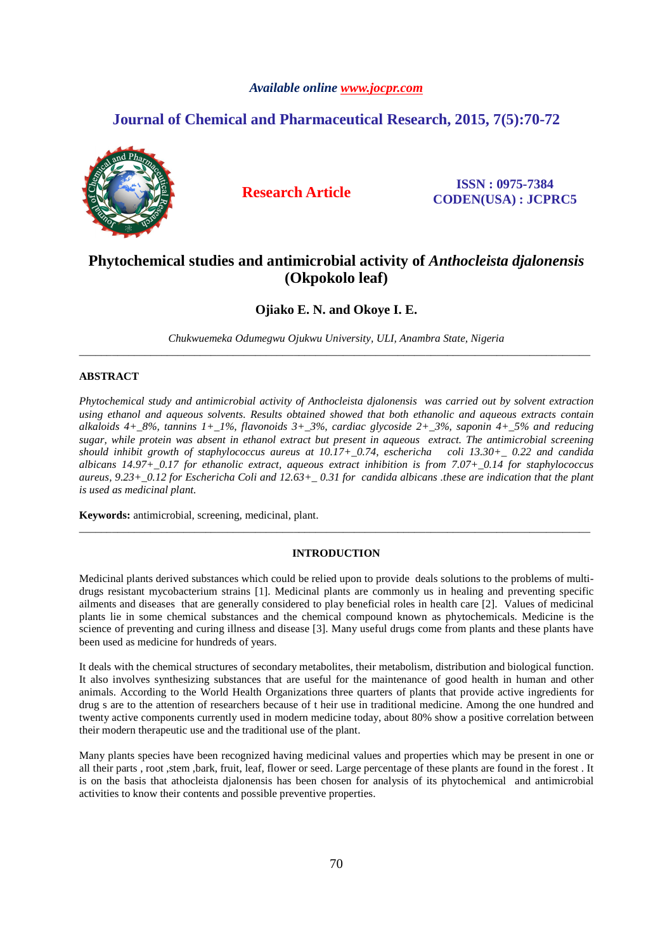# *Available online www.jocpr.com*

# **Journal of Chemical and Pharmaceutical Research, 2015, 7(5):70-72**



**Research Article ISSN : 0975-7384 CODEN(USA) : JCPRC5**

# **Phytochemical studies and antimicrobial activity of** *Anthocleista djalonensis*  **(Okpokolo leaf)**

**Ojiako E. N. and Okoye I. E.** 

*Chukwuemeka Odumegwu Ojukwu University, ULI, Anambra State, Nigeria*  \_\_\_\_\_\_\_\_\_\_\_\_\_\_\_\_\_\_\_\_\_\_\_\_\_\_\_\_\_\_\_\_\_\_\_\_\_\_\_\_\_\_\_\_\_\_\_\_\_\_\_\_\_\_\_\_\_\_\_\_\_\_\_\_\_\_\_\_\_\_\_\_\_\_\_\_\_\_\_\_\_\_\_\_\_\_\_\_\_\_\_\_\_

## **ABSTRACT**

*Phytochemical study and antimicrobial activity of Anthocleista djalonensis was carried out by solvent extraction using ethanol and aqueous solvents. Results obtained showed that both ethanolic and aqueous extracts contain alkaloids 4+\_8%, tannins 1+\_1%, flavonoids 3+\_3%, cardiac glycoside 2+\_3%, saponin 4+\_5% and reducing sugar, while protein was absent in ethanol extract but present in aqueous extract. The antimicrobial screening should inhibit growth of staphylococcus aureus at 10.17+\_0.74, eschericha coli 13.30+\_ 0.22 and candida albicans 14.97+\_0.17 for ethanolic extract, aqueous extract inhibition is from 7.07+\_0.14 for staphylococcus aureus, 9.23+\_0.12 for Eschericha Coli and 12.63+\_ 0.31 for candida albicans .these are indication that the plant is used as medicinal plant.* 

**Keywords:** antimicrobial, screening, medicinal, plant.

## **INTRODUCTION**

\_\_\_\_\_\_\_\_\_\_\_\_\_\_\_\_\_\_\_\_\_\_\_\_\_\_\_\_\_\_\_\_\_\_\_\_\_\_\_\_\_\_\_\_\_\_\_\_\_\_\_\_\_\_\_\_\_\_\_\_\_\_\_\_\_\_\_\_\_\_\_\_\_\_\_\_\_\_\_\_\_\_\_\_\_\_\_\_\_\_\_\_\_

Medicinal plants derived substances which could be relied upon to provide deals solutions to the problems of multidrugs resistant mycobacterium strains [1]. Medicinal plants are commonly us in healing and preventing specific ailments and diseases that are generally considered to play beneficial roles in health care [2]. Values of medicinal plants lie in some chemical substances and the chemical compound known as phytochemicals. Medicine is the science of preventing and curing illness and disease [3]. Many useful drugs come from plants and these plants have been used as medicine for hundreds of years.

It deals with the chemical structures of secondary metabolites, their metabolism, distribution and biological function. It also involves synthesizing substances that are useful for the maintenance of good health in human and other animals. According to the World Health Organizations three quarters of plants that provide active ingredients for drug s are to the attention of researchers because of t heir use in traditional medicine. Among the one hundred and twenty active components currently used in modern medicine today, about 80% show a positive correlation between their modern therapeutic use and the traditional use of the plant.

Many plants species have been recognized having medicinal values and properties which may be present in one or all their parts , root ,stem ,bark, fruit, leaf, flower or seed. Large percentage of these plants are found in the forest . It is on the basis that athocleista djalonensis has been chosen for analysis of its phytochemical and antimicrobial activities to know their contents and possible preventive properties.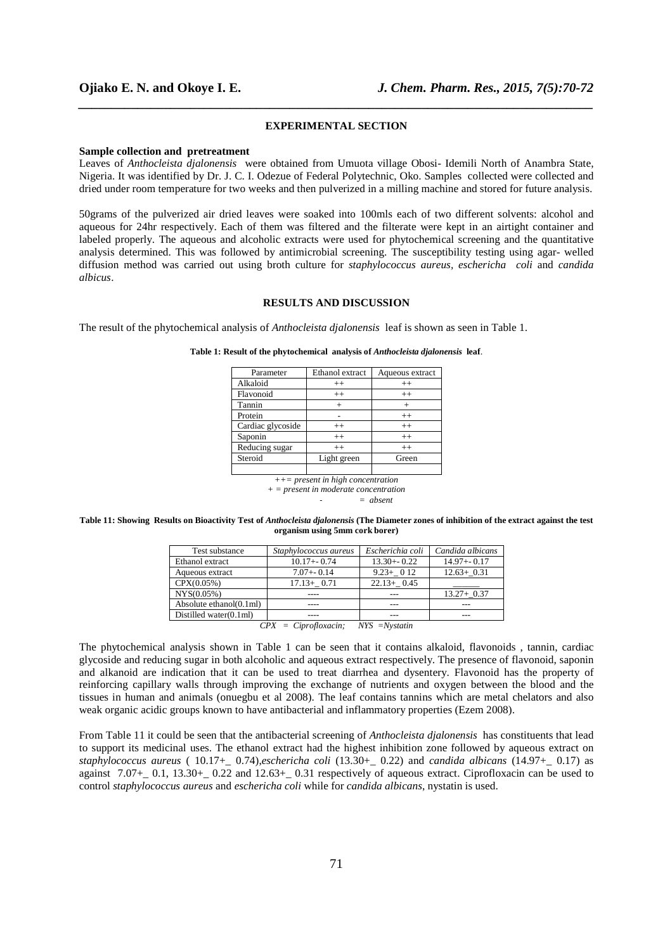#### **EXPERIMENTAL SECTION**

*\_\_\_\_\_\_\_\_\_\_\_\_\_\_\_\_\_\_\_\_\_\_\_\_\_\_\_\_\_\_\_\_\_\_\_\_\_\_\_\_\_\_\_\_\_\_\_\_\_\_\_\_\_\_\_\_\_\_\_\_\_\_\_\_\_\_\_\_\_\_\_\_\_\_\_\_\_\_*

### **Sample collection and pretreatment**

Leaves of *Anthocleista djalonensis* were obtained from Umuota village Obosi- Idemili North of Anambra State, Nigeria. It was identified by Dr. J. C. I. Odezue of Federal Polytechnic, Oko. Samples collected were collected and dried under room temperature for two weeks and then pulverized in a milling machine and stored for future analysis.

50grams of the pulverized air dried leaves were soaked into 100mls each of two different solvents: alcohol and aqueous for 24hr respectively. Each of them was filtered and the filterate were kept in an airtight container and labeled properly. The aqueous and alcoholic extracts were used for phytochemical screening and the quantitative analysis determined. This was followed by antimicrobial screening. The susceptibility testing using agar- welled diffusion method was carried out using broth culture for *staphylococcus aureus, eschericha coli* and *candida albicus*.

# **RESULTS AND DISCUSSION**

The result of the phytochemical analysis of *Anthocleista djalonensis* leaf is shown as seen in Table 1.

| Parameter         | Ethanol extract | Aqueous extract |  |
|-------------------|-----------------|-----------------|--|
| Alkaloid          | $^{++}$         | $++$            |  |
| Flavonoid         | $^{++}$         | $++$            |  |
| Tannin            | $^{+}$          | $^+$            |  |
| Protein           |                 | $++$            |  |
| Cardiac glycoside | $^{++}$         | $++$            |  |
| Saponin           | $^{++}$         | $++$            |  |
| Reducing sugar    | $++$            | $^{++}$         |  |
| Steroid           | Light green     | Green           |  |
|                   |                 |                 |  |
|                   |                 |                 |  |

**Table 1: Result of the phytochemical analysis of** *Anthocleista djalonensis* **leaf**.

*++= present in high concentration + = present in moderate concentration*  - *= absent* 

#### **Table 11: Showing Results on Bioactivity Test of** *Anthocleista djalonensis* **(The Diameter zones of inhibition of the extract against the test organism using 5mm cork borer)**

| Test substance             | Staphylococcus aureus | Escherichia coli | Candida albicans |
|----------------------------|-----------------------|------------------|------------------|
| Ethanol extract            | $10.17 + -0.74$       | $13.30 + 0.22$   | $14.97 + -0.17$  |
| Aqueous extract            | $7.07 + -0.14$        | $9.23 + 0.12$    | $12.63 + 0.31$   |
| CPX(0.05%)                 | $17.13 + 0.71$        | $22.13 + 0.45$   |                  |
| NYS(0.05%)                 |                       |                  | $13.27 + 0.37$   |
| Absolute ethanol $(0.1ml)$ |                       |                  |                  |
| Distilled water $(0.1$ ml) |                       |                  |                  |

*CPX = Ciprofloxacin; NYS =Nystatin* 

The phytochemical analysis shown in Table 1 can be seen that it contains alkaloid, flavonoids , tannin, cardiac glycoside and reducing sugar in both alcoholic and aqueous extract respectively. The presence of flavonoid, saponin and alkanoid are indication that it can be used to treat diarrhea and dysentery. Flavonoid has the property of reinforcing capillary walls through improving the exchange of nutrients and oxygen between the blood and the tissues in human and animals (onuegbu et al 2008). The leaf contains tannins which are metal chelators and also weak organic acidic groups known to have antibacterial and inflammatory properties (Ezem 2008).

From Table 11 it could be seen that the antibacterial screening of *Anthocleista djalonensis* has constituents that lead to support its medicinal uses. The ethanol extract had the highest inhibition zone followed by aqueous extract on *staphylococcus aureus* ( 10.17+\_ 0.74),*eschericha coli* (13.30+\_ 0.22) and *candida albicans* (14.97+\_ 0.17) as against  $7.07+$  0.1, 13.30+ 0.22 and 12.63+ 0.31 respectively of aqueous extract. Ciprofloxacin can be used to control *staphylococcus aureus* and *eschericha coli* while for *candida albicans*, nystatin is used.